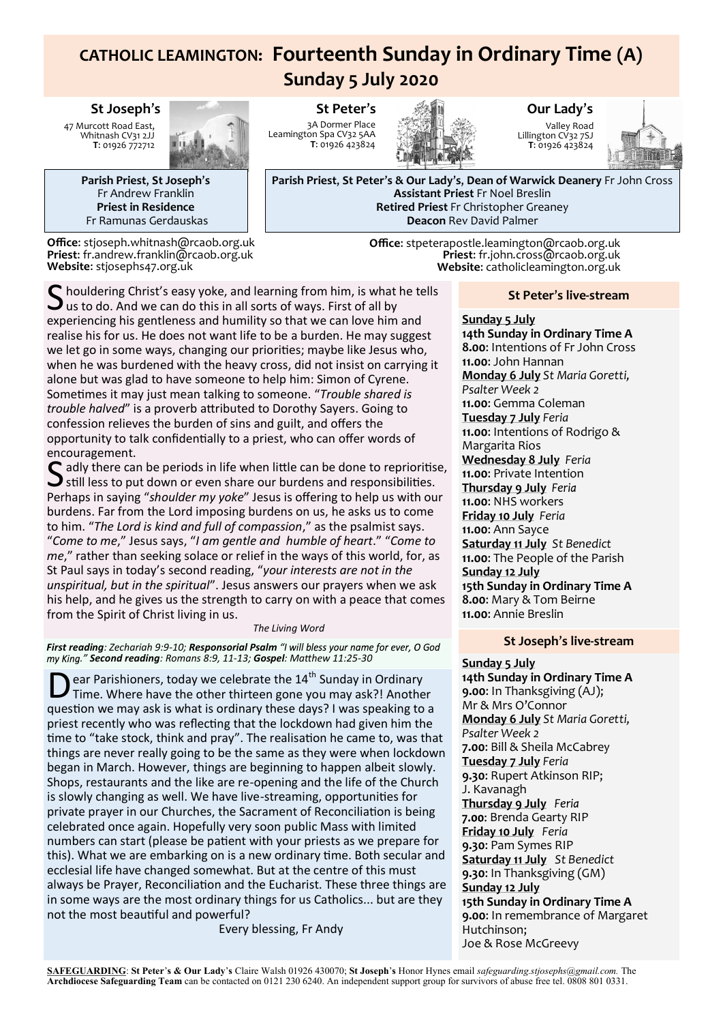## **CATHOLIC LEAMINGTON: Fourteenth Sunday in Ordinary Time (A) Sunday 5 July 2020**

#### **St Joseph**'**s**

47 Murcott Road East, Whitnash CV31 2JJ **T**: 01926 772712



**Parish Priest**, **St Joseph**'**s** Fr Andrew Franklin **Priest in Residence** Fr Ramunas Gerdauskas

**Office**: stjoseph.whitnash@rcaob.org.uk **Priest**: fr.andrew.franklin@rcaob.org.uk **Website**: stjosephs47.org.uk

**St Peter**'**s** 3A Dormer Place Leamington Spa CV32 5AA **T**: 01926 423824



**Our Lady**'**s** Valley Road Lillington CV32 7SJ **T**: 01926 423824



**Parish Priest**, **St Peter**'**s & Our Lady**'**s**, **Dean of Warwick Deanery** Fr John Cross **Assistant Priest** Fr Noel Breslin **Retired Priest** Fr Christopher Greaney **Deacon** Rev David Palmer

> **Office**: stpeterapostle.leamington@rcaob.org.uk **Priest**: fr.john.cross@rcaob.org.uk **Website**: catholicleamington.org.uk

S houldering Christ's easy yoke, and learning from him, is what he tells<br>Sus to do. And we can do this in all sorts of ways. First of all by<br>syngriporing his gontlaness and humility so that we san love him and us to do. And we can do this in all sorts of ways. First of all by experiencing his gentleness and humility so that we can love him and realise his for us. He does not want life to be a burden. He may suggest we let go in some ways, changing our priorities; maybe like Jesus who, when he was burdened with the heavy cross, did not insist on carrying it alone but was glad to have someone to help him: Simon of Cyrene. Sometimes it may just mean talking to someone. "*Trouble shared is trouble halved*" is a proverb attributed to Dorothy Sayers. Going to confession relieves the burden of sins and guilt, and offers the opportunity to talk confidentially to a priest, who can offer words of encouragement.

Solution and the periods in life when little can be done to reprioritise,<br>Setill less to put down or even share our burdens and responsibilities. still less to put down or even share our burdens and responsibilities. Perhaps in saying "*shoulder my yoke*" Jesus is offering to help us with our burdens. Far from the Lord imposing burdens on us, he asks us to come to him. "*The Lord is kind and full of compassion*," as the psalmist says. "*Come to me*," Jesus says, "*I am gentle and humble of heart*." "*Come to me*," rather than seeking solace or relief in the ways of this world, for, as St Paul says in today's second reading, "*your interests are not in the unspiritual, but in the spiritual*". Jesus answers our prayers when we ask his help, and he gives us the strength to carry on with a peace that comes from the Spirit of Christ living in us.

#### *The Living Word*

*First reading: Zechariah 9:9-10; Responsorial Psalm " ." Second reading: Romans 8:9, 11-13; Gospel: Matthew 11:25-30*

**D** ear Parishioners, today we celebrate the  $14<sup>th</sup>$  Sunday in Ordinary<br>question we may ask is what is ordinary these days? I was speaking to a ear Parishioners, today we celebrate the  $14<sup>th</sup>$  Sunday in Ordinary Time. Where have the other thirteen gone you may ask?! Another priest recently who was reflecting that the lockdown had given him the time to "take stock, think and pray". The realisation he came to, was that things are never really going to be the same as they were when lockdown began in March. However, things are beginning to happen albeit slowly. Shops, restaurants and the like are re-opening and the life of the Church is slowly changing as well. We have live-streaming, opportunities for private prayer in our Churches, the Sacrament of Reconciliation is being celebrated once again. Hopefully very soon public Mass with limited numbers can start (please be patient with your priests as we prepare for this). What we are embarking on is a new ordinary time. Both secular and ecclesial life have changed somewhat. But at the centre of this must always be Prayer, Reconciliation and the Eucharist. These three things are in some ways are the most ordinary things for us Catholics... but are they not the most beautiful and powerful?

Every blessing, Fr Andy

#### **St Peter**'**s live-stream**

## **Sunday 5 July**

**14th Sunday in Ordinary Time A 8.00**: Intentions of Fr John Cross **11.00**: John Hannan **Monday 6 July** *St Maria Goretti, Psalter Week 2* **11.00**: Gemma Coleman **Tuesday 7 July** *Feria* **11.00**: Intentions of Rodrigo & Margarita Rios **Wednesday 8 July** *Feria* **11.00**: Private Intention **Thursday 9 July Feria 11.00**: NHS workers **Friday 10 July** *Feria* **11.00**: Ann Sayce **Saturday 11 July** *St Benedict* **11.00**: The People of the Parish **Sunday 12 July 15th Sunday in Ordinary Time A 8.00**: Mary & Tom Beirne **11.00**: Annie Breslin

#### **St Joseph**'**s live-stream**

**Sunday 5 July 14th Sunday in Ordinary Time A 9.00**: In Thanksgiving (AJ); Mr & Mrs O'Connor **Monday 6 July** *St Maria Goretti, Psalter Week 2* **7.00**: Bill & Sheila McCabrey **Tuesday 7 July** *Feria* **9.30**: Rupert Atkinson RIP; J. Kavanagh **Thursday 9 July**  7.00: Brenda Gearty RIP **Friday 10 July** *Feria* **9.30**: Pam Symes RIP **Saturday 11 July** *St Benedict* **9.30**: In Thanksgiving (GM) **Sunday 12 July 15th Sunday in Ordinary Time A 9.00**: In remembrance of Margaret Hutchinson; Joe & Rose McGreevy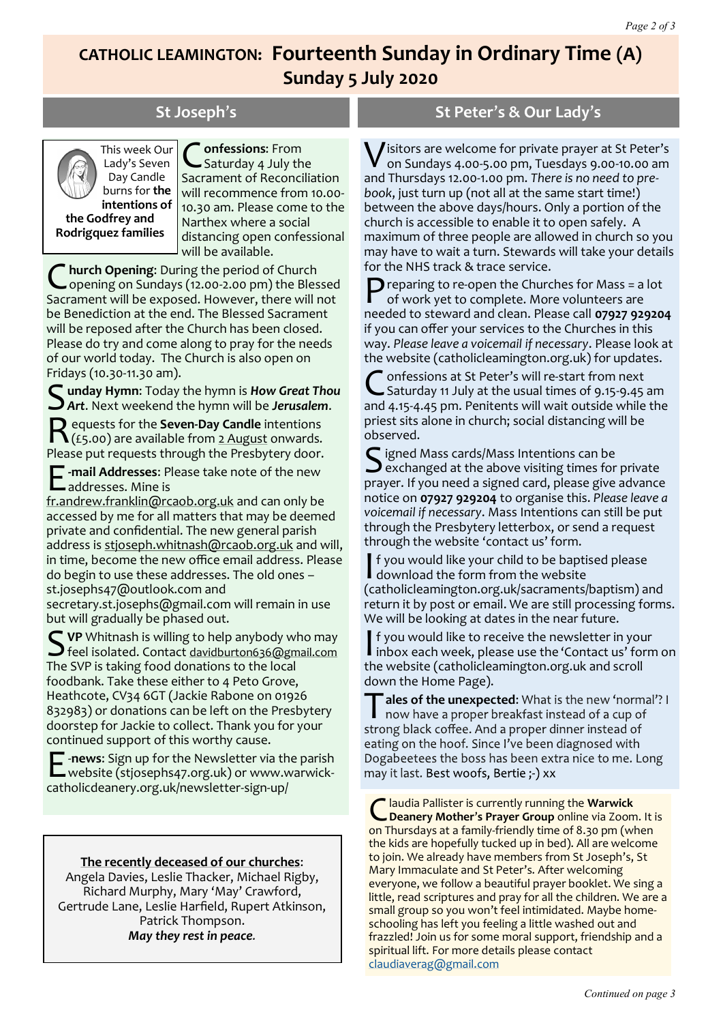# **CATHOLIC LEAMINGTON: Fourteenth Sunday in Ordinary Time (A) Sunday 5 July 2020**



This week Our Lady's Seven Day Candle burns for **the** 

**intentions of the Godfrey and Rodrigquez families**

**C** onfessions: From<br>Sacrament of Reconciliation **onfessions**: From Saturday 4 July the will recommence from 10.00- 10.30 am. Please come to the Narthex where a social distancing open confessional will be available.

C hurch Opening: During the period of Church<br>
Sacrament will be exposed. However, there will not **hurch Opening**: During the period of Church opening on Sundays (12.00-2.00 pm) the Blessed be Benediction at the end. The Blessed Sacrament will be reposed after the Church has been closed. Please do try and come along to pray for the needs of our world today. The Church is also open on Fridays (10.30-11.30 am).

S unday Hymn: Today the hymn is *How Great Thou*<br> **SArt**. Next weekend the hymn will be **Jerusalem**. *Art*. Next weekend the hymn will be *Jerusalem*.

 $\mathsf{R}_{\text{(f5.00)}}$  are available from 2 August onwards. equests for the **Seven-Day Candle** intentions Please put requests through the Presbytery door.

**E** -**mail Addresses**: Please take note of the new<br>addresses. Mine is<br>frandrow franklin@rcapb.org.uk.and.cap.only.bo addresses. Mine is

[fr.andrew.franklin@rcaob.org.uk](mailto:fr.andrew.franklin@rcaob.org.uk) and can only be accessed by me for all matters that may be deemed private and confidential. The new general parish address is [stjoseph.whitnash@rcaob.org.uk](mailto:stjoseph.whitnash@rcaob.org.uk) and will, in time, become the new office email address. Please do begin to use these addresses. The old ones – st.josephs47@outlook.com and

secretary.st.josephs@gmail.com will remain in use but will gradually be phased out.

**S** VP Whitnash is willing to help anybody who may<br>
feel isolated. Contact davidburton636@gmail.com **J** feel isolated. Contact [davidburton636@gmail.com](mailto:davidburton636@gmail.com) The SVP is taking food donations to the local foodbank. Take these either to 4 Peto Grove, Heathcote, CV34 6GT (Jackie Rabone on 01926 832983) or donations can be left on the Presbytery doorstep for Jackie to collect. Thank you for your continued support of this worthy cause.

**E** -news: Sign up for the Newsletter via the parish<br>website (stjosephs47.org.uk) or www.warwickwebsite (stjosephs47.org.uk) or www.[warwick](https://eur01.safelinks.protection.outlook.com/?url=http%3A%2F%2Fwarwick-catholicdeanery.org.uk%2Fnewsletter-sign-up%2F&data=02%7C01%7C%7C721285f1bfe64a92393d08d7a351cd53%7C84df9e7fe9f640afb435aaaaaaaaaaaa%7C1%7C0%7C637157444038479073&sdata=wJyzCzyquvWm6KYBMn)[catholicdeanery.org.uk/newsletter](https://eur01.safelinks.protection.outlook.com/?url=http%3A%2F%2Fwarwick-catholicdeanery.org.uk%2Fnewsletter-sign-up%2F&data=02%7C01%7C%7C721285f1bfe64a92393d08d7a351cd53%7C84df9e7fe9f640afb435aaaaaaaaaaaa%7C1%7C0%7C637157444038479073&sdata=wJyzCzyquvWm6KYBMn)-sign-up/

#### **The recently deceased of our churches**:

Angela Davies, Leslie Thacker, Michael Rigby, Richard Murphy, Mary 'May' Crawford, Gertrude Lane, Leslie Harfield, Rupert Atkinson, Patrick Thompson. *May they rest in peace.*

### **St Joseph**'**s St Peter**'**s & Our Lady**'**s**

**V** isitors are welcome for private prayer at St Peter<br>on Sundays 4.00-5.00 pm, Tuesdays 9.00-10.00 a<br>and Thursdays 12.00-1.00 pm. There is no need to pre-I isitors are welcome for private prayer at St Peter's on Sundays 4.00-5.00 pm, Tuesdays 9.00-10.00 am *book*, just turn up (not all at the same start time!) between the above days/hours. Only a portion of the church is accessible to enable it to open safely. A maximum of three people are allowed in church so you may have to wait a turn. Stewards will take your details for the NHS track & trace service.

P reparing to re-open the Churches for Mass = a lot<br>of work yet to complete. More volunteers are<br>preaded to steward and clean. Please call areas areas of work yet to complete. More volunteers are needed to steward and clean. Please call **07927 929204**  if you can offer your services to the Churches in this way. *Please leave a voicemail if necessary*. Please look at the website (catholicleamington.org.uk) for updates.

C onfessions at St Peter's will re-start from next<br>Saturday 11 July at the usual times of 9.15-9.45 am<br>and 4.15-4.45 pm. Penitents will wait outside while the onfessions at St Peter's will re-start from next Saturday 11 July at the usual times of 9.15-9.45 am priest sits alone in church; social distancing will be observed.

Signed Mass cards/Mass Intentions can be<br>Sexchanged at the above visiting times for  $\mathbf \Sigma$  exchanged at the above visiting times for private prayer. If you need a signed card, please give advance notice on **07927 929204** to organise this. *Please leave a voicemail if necessary*. Mass Intentions can still be put through the Presbytery letterbox, or send a request through the website 'contact us' form.

If you would like your child to be baptised please<br>download the form from the website<br>(catholicleamington.org.uk/sacraments/baptism) and f you would like your child to be baptised please download the form from the website return it by post or email. We are still processing forms. We will be looking at dates in the near future.

If you would like to receive the newsletter in your<br>inbox each week, please use the 'Contact us' form on<br>the website (catholiclear instep ora uk and scroll f you would like to receive the newsletter in your the website (catholicleamington.org.uk and scroll down the Home Page).

**ales of the unexpected:** What is the new 'normal'? I ■ now have a proper breakfast instead of a cup of strong black coffee. And a proper dinner instead of eating on the hoof. Since I've been diagnosed with Dogabeetees the boss has been extra nice to me. Long may it last. Best woofs, Bertie ;-) xx

**C** laudia Pallister is currently running the Warwick<br> **C** Deanery Mother's Prayer Group online via Zoom. It<br>
on Thursdays at a family-friendly time of 8.30 pm (when laudia Pallister is currently running the **Warwick Deanery Mother**'**s Prayer Group** online via Zoom. It is the kids are hopefully tucked up in bed). All are welcome to join. We already have members from St Joseph's, St Mary Immaculate and St Peter's. After welcoming everyone, we follow a beautiful prayer booklet. We sing a little, read scriptures and pray for all the children. We are a small group so you won't feel intimidated. Maybe homeschooling has left you feeling a little washed out and frazzled! Join us for some moral support, friendship and a spiritual lift. For more details please contact [claudiaverag@gmail.com](mailto:claudiaverag@gmail.com)